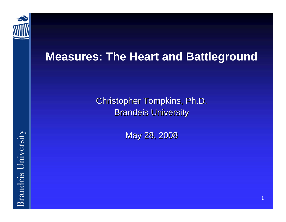

#### **Measures: The Heart and Battleground**

Christopher Tompkins, Ph.D. **Brandeis University** 

May 28, 2008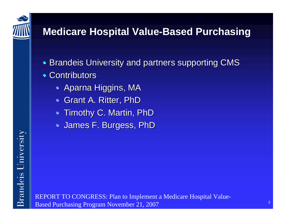

**Brandeis University** 

#### **Medicare Hospital Value-Based Purchasing**

- Brandeis University and partners supporting CMS
- Contributors
	- $\bullet~$  Aparna Higgins, MA
	- Grant A. Ritter, PhD
	- $\bullet\,$  Timothy C. Martin, PhD
	- $\bullet\,$  James F. Burgess, PhD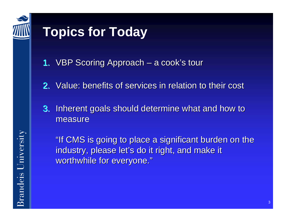

# **Topics for Today**

- **1.** VBP Scoring Approach  $\cdot$ – a cook's tour
- 2. Value: benefits of services in relation to their cost
- 3. Inherent goals should determine what and how to measure

"If CMS is going to place a significant burden on the industry, please let's do it right, and make it worthwhile for everyone."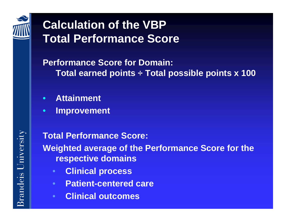

## **Calculation of the VBP Total Performance Score**

#### **Performance Score for Domain: Total earned points ÷ Total possible points x 100**

- $\bullet$ **Attainment**
- •**Improvement**

**Total Performance Score: Weighted average of the Performance Score for the respective domains**

- $\bullet$ **Clinical process**
- $\bullet$ **Patient-centered care**
- •**Clinical outcomes**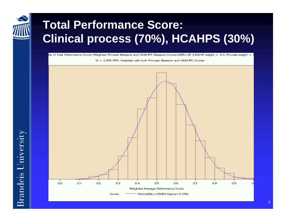

### **Total Performance Score: Clinical process (70%), HCAHPS (30%)**

ity of Total Performance Score: Weichted Process Measure and HCAHPS Measure Scores 2005-06 (HCAHP weight = 0.3, Process weight = 1

 $N = 2.359$  IPPS. Hospitals with both Process Measure and HCAHPS Scores



**Srandeis University**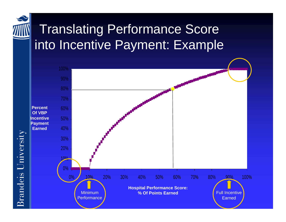

## Translating Performance Score into Incentive Payment: Example



**Brandeis University**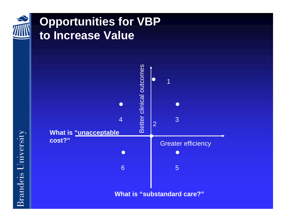

#### **Opportunities for VBP to Increase Value**



**Brandeis University**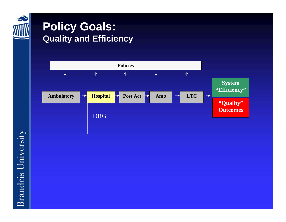

#### **Policy Goals: Quality and Efficiency**

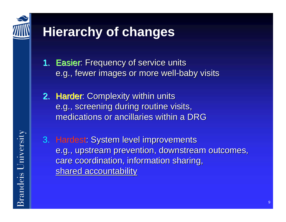

# **Hierarchy of changes**

- **1. Easier**: Frequency of service units e.g., fewer images or more well-baby visits
- 2. Harder: Complexity within units e.g., screening during routine visits, medications or ancillaries within a DRG
- 3. Hardest: System level improvements e.g., upstream prevention, downstream outcomes, care coordination, information sharing, shared accountability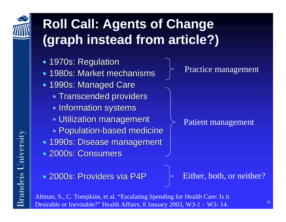

randeis University

 $\bar{\mathbb{Z}}$ 

# **Roll Call: Agents of Change (graph instead from article?)**

- 1970s: Regulation
- 1980s: Market mechanisms
- 1990s: Managed Care
	- $\bullet$  Transcended providers
	- $\bullet$  Information systems
	- $\bullet$  Utilization management
	- $\bullet$  Population-based medicine
- 1990s: Disease management
- 2000s: Consumers

• 2000s: Providers via P4P

Practice management

#### Patient management

Either, both, or neither?

Altman, S., C. Tompkins, et al. "Escalating Spending for Health Care: Is it Desirable or Inevitable?" Health Affairs, 8 January 2003, W3-1 – W3- 14.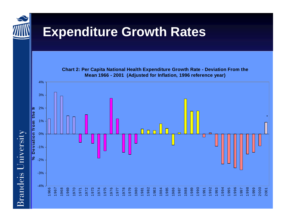

**Brandeis University** 

## **Expenditure Growth Rates**

**Chart 2: Per Capita National Health Expenditure Growth Rate - Deviation From the Mean 1966 - 2001 ( Adjust ed f or Inflatio n, 1996 reference y ear)**

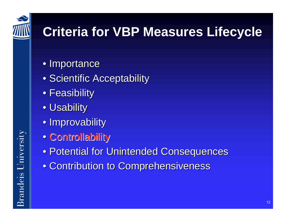

# **Criteria for VBP Measures Lifecycle**

- Importance
- Scientific Acceptability
- $\bullet$  Feasibility
- $\bullet$  Usability
- Improvability
- Controllability
- Potential for Unintended Consequences
- Contribution to Comprehensiveness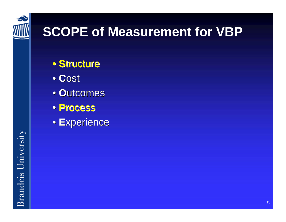

# **SCOPE of Measurement for VBP**

- **Structure**
- **C**ost
- **Outcomes**
- **P**rocess
- Experience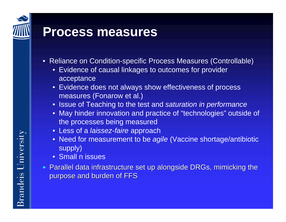## **Process measures**

- Reliance on Condition-specific Process Measures (Controllable)
	- E vidence of causal linkages to outcomes for provider acceptance
	- E vidence does not always show effectiveness of process measures (Fonarow et al.)
	- Issue of Teaching to the test and *saturation in performance*
	- May hinder innovation and practice of "technologies" outside of the processes being measured
	- Les s of a *laissez-faire* approach
	- Need for measurement to be *agile* (Vaccine shortage/antibiotic supply)
	- Small n issues
- $\bullet\,$  Parallel data infrastructure set up alongside DRGs, mimicking the purpose and burden of FFS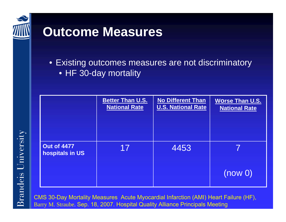

## **Outcome Measures**

• Existing outcomes measures are not discriminatory • HF 30-day mortality

|                                       | <b>Better Than U.S.</b><br><b>National Rate</b> | <b>No Different Than</b><br><b>U.S. National Rate</b> | <b>Worse Than U.S.</b><br><b>National Rate</b> |
|---------------------------------------|-------------------------------------------------|-------------------------------------------------------|------------------------------------------------|
| <b>Out of 4477</b><br>hospitals in US | 17                                              | 4453                                                  |                                                |
|                                       |                                                 |                                                       | (now <sub>0</sub> )                            |

C MS 30-Day Mortality Measures Acute Myocardial Infarction (AMI) Heart Failure (HF), Barry M. Straube. Sep. 18, 2007. H ospital Quality Alliance Principals Meeting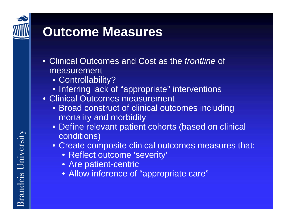

## **Outcome Measures**

- Clinical Outcomes and Cost as the *frontline* of measurement
	- Controllability?
	- Inferring lack of "appropriate" interventions
- Clinical Outcomes measurement
	- Broad construct of clinical outcomes including mortality and morbidity
	- Define relevant patient cohorts (based on clinical conditions)
	- Create composite clinical outcomes measures that:
		- Reflect outcome 'severity'
		- Are patient-centric
		- Allow inference of "appropriate care"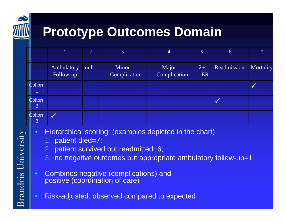

# **Prototype Outcomes Domain**

|              |                          | 2    | 3                     | $\overline{4}$        | $5\overline{)}$ | 6           |           |
|--------------|--------------------------|------|-----------------------|-----------------------|-----------------|-------------|-----------|
|              | Ambulatory<br>Follow-up  | null | Minor<br>Complication | Major<br>Complication | $2+$<br>ER      | Readmission | Mortality |
| Cohort       |                          |      |                       |                       |                 |             |           |
| Cohort<br> 2 |                          |      |                       |                       |                 |             |           |
| Cohort<br>3  | $\overline{\mathcal{M}}$ |      |                       |                       |                 |             |           |

- $\bullet$  Hierarchical scoring: (examples depicted in the chart)
	- 1.patient died=7;
	- 2. patient survived but readmitted=6;
	- 3. no negative outcomes but appropriate ambulatory follow-up=1
- • Combines negative (complications) and positive (coordination of care)
- •Risk-adjusted: observed compared to expected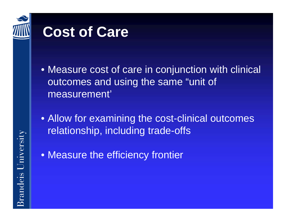

# **Cost of Care**

- Measure cost of care in conjunction with clinical outcomes and using the same "unit of measurement'
- Allow for examining the cost-clinical outcomes relationship, including trade-offs
- Measure the efficiency frontier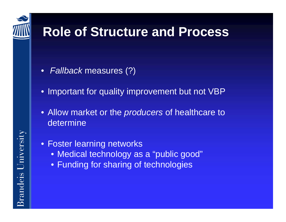

## **Role of Structure and Process**

- *Fallback* measures (?)
- Important for quality improvement but not VBP
- Allow market or the *producers* of healthcare to determine
- Foster learning networks
	- Medical technology as a "public good"
	- Funding for sharing of technologies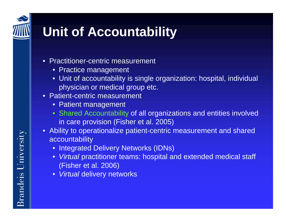# **Unit of Accountability**

- Practitioner-centric measurement
	- Practice management
	- Unit of accountability is single organization: hospital, individual physician or medic al group etc.
- Patient-centric measurement
	- Patient management
	- Shared Accountability of all organizations and entities involved in care provision (Fisher et al. 2005)
- Ability to operationalize patient-centric measurement and shared accountability
	- Integrated Delivery Networks (IDNs)
	- Virtual practitioner teams: hospital and extended medical staff (Fisher et al. 2006)
	- *Virtual* delivery networks